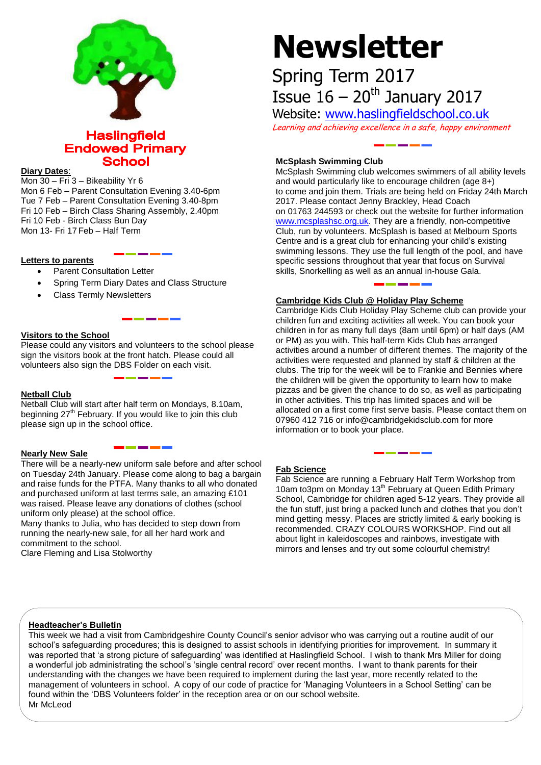

**Haslingfield Endowed Primary School** 

## **Diary Dates**:

Mon 30 – Fri 3 – Bikeability Yr 6

Mon 6 Feb – Parent Consultation Evening 3.40-6pm Tue 7 Feb – Parent Consultation Evening 3.40-8pm Fri 10 Feb – Birch Class Sharing Assembly, 2.40pm Fri 10 Feb - Birch Class Bun Day Mon 13- Fri 17 Feb – Half Term

### **Letters to parents**

- Parent Consultation Letter
- Spring Term Diary Dates and Class Structure
- Class Termly Newsletters

### **Visitors to the School**

Please could any visitors and volunteers to the school please sign the visitors book at the front hatch. Please could all volunteers also sign the DBS Folder on each visit.

# **Netball Club**

Netball Club will start after half term on Mondays, 8.10am, beginning 27<sup>th</sup> February. If you would like to join this club please sign up in the school office.

## **Nearly New Sale**

There will be a nearly-new uniform sale before and after school on Tuesday 24th January. Please come along to bag a bargain and raise funds for the PTFA. Many thanks to all who donated and purchased uniform at last terms sale, an amazing £101 was raised. Please leave any donations of clothes (school uniform only please) at the school office.

Many thanks to Julia, who has decided to step down from running the nearly-new sale, for all her hard work and commitment to the school.

Clare Fleming and Lisa Stolworthy

# **Newsletter**

# Spring Term 2017 Issue  $16 - 20$ <sup>th</sup> January 2017

Website: [www.haslingfieldschool.co.uk](http://www.haslingfieldschool.co.uk/)

Learning and achieving excellence in a safe, happy environment

# **McSplash Swimming Club**

McSplash Swimming club welcomes swimmers of all ability levels and would particularly like to encourage children (age 8+) to come and join them. Trials are being held on Friday 24th March 2017. Please contact Jenny Brackley, Head Coach on 01763 244593 or check out the website for further information [www.mcsplashsc.org.uk.](http://www.mcsplashsc.org.uk/) They are a friendly, non-competitive Club, run by volunteers. McSplash is based at Melbourn Sports Centre and is a great club for enhancing your child's existing swimming lessons. They use the full length of the pool, and have specific sessions throughout that year that focus on Survival skills, Snorkelling as well as an annual in-house Gala.

# **Cambridge Kids Club @ Holiday Play Scheme**

Cambridge Kids Club Holiday Play Scheme club can provide your children fun and exciting activities all week. You can book your children in for as many full days (8am until 6pm) or half days (AM or PM) as you with. This half-term Kids Club has arranged activities around a number of different themes. The majority of the activities were requested and planned by staff & children at the clubs. The trip for the week will be to Frankie and Bennies where the children will be given the opportunity to learn how to make pizzas and be given the chance to do so, as well as participating in other activities. This trip has limited spaces and will be allocated on a first come first serve basis. Please contact them on 07960 412 716 or info@cambridgekidsclub.com for more information or to book your place.

#### **Fab Science**

Fab Science are running a February Half Term Workshop from 10am to3pm on Monday 13<sup>th</sup> February at Queen Edith Primary School, Cambridge for children aged 5-12 years. They provide all the fun stuff, just bring a packed lunch and clothes that you don't mind getting messy. Places are strictly limited & early booking is recommended. CRAZY COLOURS WORKSHOP. Find out all about light in kaleidoscopes and rainbows, investigate with mirrors and lenses and try out some colourful chemistry!

#### **Headteacher's Bulletin**

This week we had a visit from Cambridgeshire County Council's senior advisor who was carrying out a routine audit of our school's safeguarding procedures; this is designed to assist schools in identifying priorities for improvement. In summary it was reported that 'a strong picture of safeguarding' was identified at Haslingfield School. I wish to thank Mrs Miller for doing a wonderful job administrating the school's 'single central record' over recent months. I want to thank parents for their understanding with the changes we have been required to implement during the last year, more recently related to the management of volunteers in school. A copy of our code of practice for 'Managing Volunteers in a School Setting' can be found within the 'DBS Volunteers folder' in the reception area or on our school website. Mr McLeod